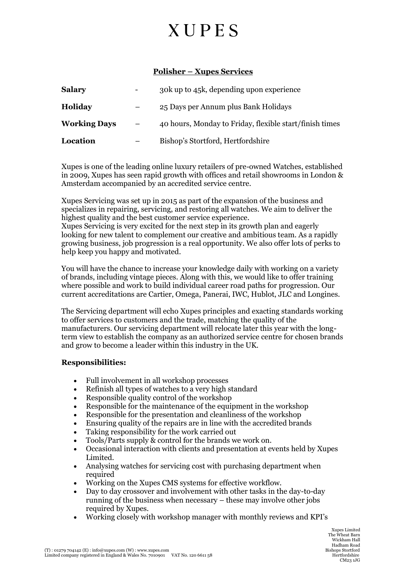## **XUPES**

### **Polisher – Xupes Services**

| <b>Salary</b>       | 30k up to 45k, depending upon experience                |
|---------------------|---------------------------------------------------------|
| <b>Holiday</b>      | 25 Days per Annum plus Bank Holidays                    |
| <b>Working Days</b> | 40 hours, Monday to Friday, flexible start/finish times |
| Location            | Bishop's Stortford, Hertfordshire                       |

Xupes is one of the leading online luxury retailers of pre-owned Watches, established in 2009, Xupes has seen rapid growth with offices and retail showrooms in London & Amsterdam accompanied by an accredited service centre.

Xupes Servicing was set up in 2015 as part of the expansion of the business and specializes in repairing, servicing, and restoring all watches. We aim to deliver the highest quality and the best customer service experience.

Xupes Servicing is very excited for the next step in its growth plan and eagerly looking for new talent to complement our creative and ambitious team. As a rapidly growing business, job progression is a real opportunity. We also offer lots of perks to help keep you happy and motivated.

You will have the chance to increase your knowledge daily with working on a variety of brands, including vintage pieces. Along with this, we would like to offer training where possible and work to build individual career road paths for progression. Our current accreditations are Cartier, Omega, Panerai, IWC, Hublot, JLC and Longines.

The Servicing department will echo Xupes principles and exacting standards working to offer services to customers and the trade, matching the quality of the manufacturers. Our servicing department will relocate later this year with the longterm view to establish the company as an authorized service centre for chosen brands and grow to become a leader within this industry in the UK.

### **Responsibilities:**

- Full involvement in all workshop processes
- Refinish all types of watches to a very high standard
- Responsible quality control of the workshop
- Responsible for the maintenance of the equipment in the workshop
- Responsible for the presentation and cleanliness of the workshop
- Ensuring quality of the repairs are in line with the accredited brands
- Taking responsibility for the work carried out
- Tools/Parts supply & control for the brands we work on.
- Occasional interaction with clients and presentation at events held by Xupes Limited.
- Analysing watches for servicing cost with purchasing department when required
- Working on the Xupes CMS systems for effective workflow.
- Day to day crossover and involvement with other tasks in the day-to-day running of the business when necessary – these may involve other jobs required by Xupes.
- Working closely with workshop manager with monthly reviews and KPI's